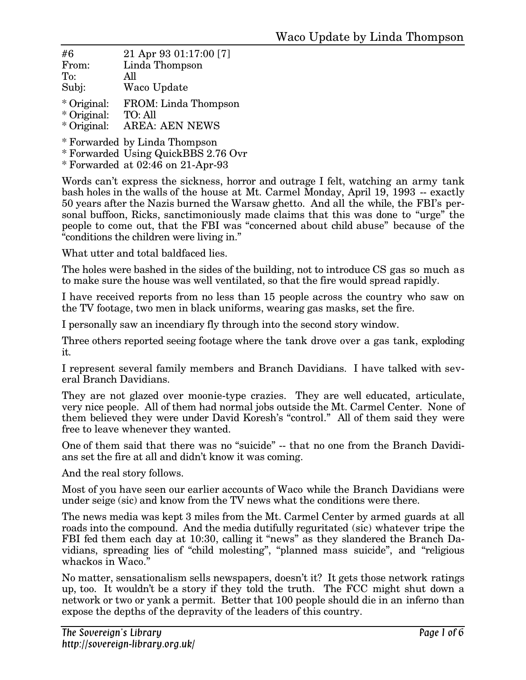| #6          | 21 Apr 93 01:17:00 [7]        |
|-------------|-------------------------------|
| From:       | Linda Thompson                |
| To:         | All                           |
| Subj:       | Waco Update                   |
| * Original: | FROM: Linda Thompson          |
| * Original: | TO: All                       |
| * Original: | <b>AREA: AEN NEWS</b>         |
|             | * Forwarded by Linda Thompson |

\* Forwarded by Linda Thompson \* Forwarded Using QuickBBS 2.76 Ovr

\* Forwarded at 02:46 on 21-Apr-93

Words can't express the sickness, horror and outrage I felt, watching an army tank bash holes in the walls of the house at Mt. Carmel Monday, April 19, 1993 -- exactly 50 years after the Nazis burned the Warsaw ghetto. And all the while, the FBI's personal buffoon, Ricks, sanctimoniously made claims that this was done to "urge" the people to come out, that the FBI was "concerned about child abuse" because of the "conditions the children were living in."

What utter and total baldfaced lies.

The holes were bashed in the sides of the building, not to introduce CS gas so much as to make sure the house was well ventilated, so that the fire would spread rapidly.

I have received reports from no less than 15 people across the country who saw on the TV footage, two men in black uniforms, wearing gas masks, set the fire.

I personally saw an incendiary fly through into the second story window.

Three others reported seeing footage where the tank drove over a gas tank, exploding it.

I represent several family members and Branch Davidians. I have talked with several Branch Davidians.

They are not glazed over moonie-type crazies. They are well educated, articulate, very nice people. All of them had normal jobs outside the Mt. Carmel Center. None of them believed they were under David Koresh's "control." All of them said they were free to leave whenever they wanted.

One of them said that there was no "suicide" -- that no one from the Branch Davidians set the fire at all and didn't know it was coming.

And the real story follows.

Most of you have seen our earlier accounts of Waco while the Branch Davidians were under seige (sic) and know from the TV news what the conditions were there.

The news media was kept 3 miles from the Mt. Carmel Center by armed guards at all roads into the compound. And the media dutifully reguritated (sic) whatever tripe the FBI fed them each day at 10:30, calling it "news" as they slandered the Branch Davidians, spreading lies of "child molesting", "planned mass suicide", and "religious whackos in Waco."

No matter, sensationalism sells newspapers, doesn't it? It gets those network ratings up, too. It wouldn't be a story if they told the truth. The FCC might shut down a network or two or yank a permit. Better that 100 people should die in an inferno than expose the depths of the depravity of the leaders of this country.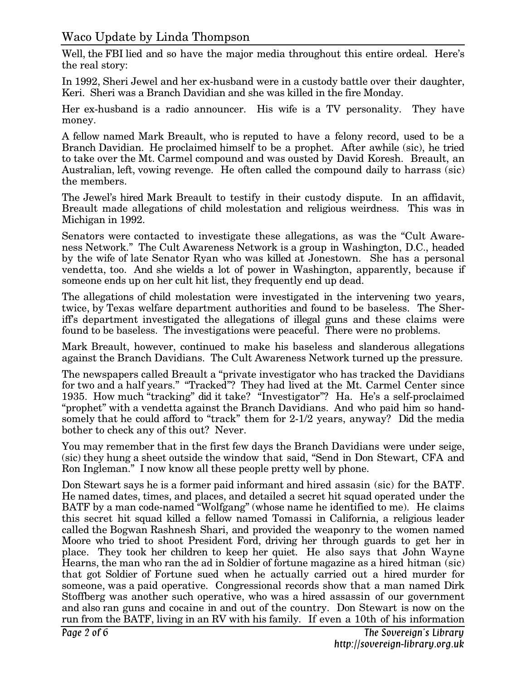## Waco Update by Linda Thompson

Well, the FBI lied and so have the major media throughout this entire ordeal. Here's the real story:

In 1992, Sheri Jewel and her ex-husband were in a custody battle over their daughter, Keri. Sheri was a Branch Davidian and she was killed in the fire Monday.

Her ex-husband is a radio announcer. His wife is a TV personality. They have money.

A fellow named Mark Breault, who is reputed to have a felony record, used to be a Branch Davidian. He proclaimed himself to be a prophet. After awhile (sic), he tried to take over the Mt. Carmel compound and was ousted by David Koresh. Breault, an Australian, left, vowing revenge. He often called the compound daily to harrass (sic) the members.

The Jewel's hired Mark Breault to testify in their custody dispute. In an affidavit, Breault made allegations of child molestation and religious weirdness. This was in Michigan in 1992.

Senators were contacted to investigate these allegations, as was the "Cult Awareness Network." The Cult Awareness Network is a group in Washington, D.C., headed by the wife of late Senator Ryan who was killed at Jonestown. She has a personal vendetta, too. And she wields a lot of power in Washington, apparently, because if someone ends up on her cult hit list, they frequently end up dead.

The allegations of child molestation were investigated in the intervening two years, twice, by Texas welfare department authorities and found to be baseless. The Sheriff's department investigated the allegations of illegal guns and these claims were found to be baseless. The investigations were peaceful. There were no problems.

Mark Breault, however, continued to make his baseless and slanderous allegations against the Branch Davidians. The Cult Awareness Network turned up the pressure.

The newspapers called Breault a "private investigator who has tracked the Davidians for two and a half years." "Tracked"? They had lived at the Mt. Carmel Center since 1935. How much "tracking" did it take? "Investigator"? Ha. He's a self-proclaimed "prophet" with a vendetta against the Branch Davidians. And who paid him so handsomely that he could afford to "track" them for 2-1/2 years, anyway? Did the media bother to check any of this out? Never.

You may remember that in the first few days the Branch Davidians were under seige, (sic) they hung a sheet outside the window that said, "Send in Don Stewart, CFA and Ron Ingleman." I now know all these people pretty well by phone.

Don Stewart says he is a former paid informant and hired assasin (sic) for the BATF. He named dates, times, and places, and detailed a secret hit squad operated under the BATF by a man code-named "Wolfgang" (whose name he identified to me). He claims this secret hit squad killed a fellow named Tomassi in California, a religious leader called the Bogwan Rashnesh Shari, and provided the weaponry to the women named Moore who tried to shoot President Ford, driving her through guards to get her in place. They took her children to keep her quiet. He also says that John Wayne Hearns, the man who ran the ad in Soldier of fortune magazine as a hired hitman (sic) that got Soldier of Fortune sued when he actually carried out a hired murder for someone, was a paid operative. Congressional records show that a man named Dirk Stoffberg was another such operative, who was a hired assassin of our government and also ran guns and cocaine in and out of the country. Don Stewart is now on the run from the BATF, living in an RV with his family. If even a 10th of his information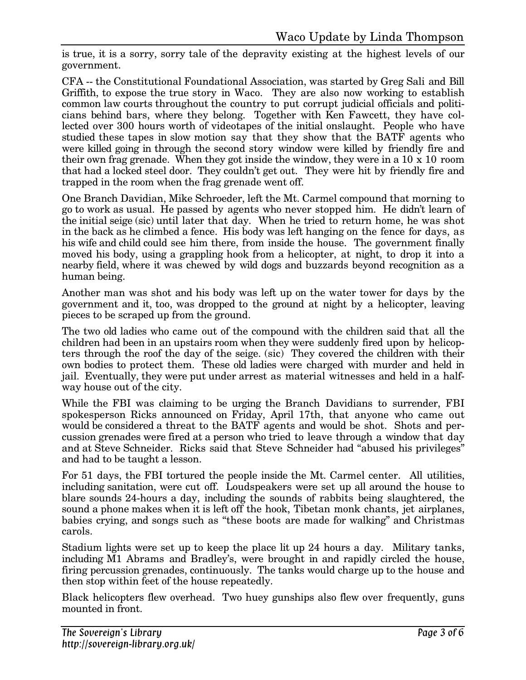is true, it is a sorry, sorry tale of the depravity existing at the highest levels of our government.

CFA -- the Constitutional Foundational Association, was started by Greg Sali and Bill Griffith, to expose the true story in Waco. They are also now working to establish common law courts throughout the country to put corrupt judicial officials and politicians behind bars, where they belong. Together with Ken Fawcett, they have collected over 300 hours worth of videotapes of the initial onslaught. People who have studied these tapes in slow motion say that they show that the BATF agents who were killed going in through the second story window were killed by friendly fire and their own frag grenade. When they got inside the window, they were in a 10 x 10 room that had a locked steel door. They couldn't get out. They were hit by friendly fire and trapped in the room when the frag grenade went off.

One Branch Davidian, Mike Schroeder, left the Mt. Carmel compound that morning to go to work as usual. He passed by agents who never stopped him. He didn't learn of the initial seige (sic) until later that day. When he tried to return home, he was shot in the back as he climbed a fence. His body was left hanging on the fence for days, as his wife and child could see him there, from inside the house. The government finally moved his body, using a grappling hook from a helicopter, at night, to drop it into a nearby field, where it was chewed by wild dogs and buzzards beyond recognition as a human being.

Another man was shot and his body was left up on the water tower for days by the government and it, too, was dropped to the ground at night by a helicopter, leaving pieces to be scraped up from the ground.

The two old ladies who came out of the compound with the children said that all the children had been in an upstairs room when they were suddenly fired upon by helicopters through the roof the day of the seige. (sic) They covered the children with their own bodies to protect them. These old ladies were charged with murder and held in jail. Eventually, they were put under arrest as material witnesses and held in a halfway house out of the city.

While the FBI was claiming to be urging the Branch Davidians to surrender, FBI spokesperson Ricks announced on Friday, April 17th, that anyone who came out would be considered a threat to the BATF agents and would be shot. Shots and percussion grenades were fired at a person who tried to leave through a window that day and at Steve Schneider. Ricks said that Steve Schneider had "abused his privileges" and had to be taught a lesson.

For 51 days, the FBI tortured the people inside the Mt. Carmel center. All utilities, including sanitation, were cut off. Loudspeakers were set up all around the house to blare sounds 24-hours a day, including the sounds of rabbits being slaughtered, the sound a phone makes when it is left off the hook, Tibetan monk chants, jet airplanes, babies crying, and songs such as "these boots are made for walking" and Christmas carols.

Stadium lights were set up to keep the place lit up 24 hours a day. Military tanks, including M1 Abrams and Bradley's, were brought in and rapidly circled the house, firing percussion grenades, continuously. The tanks would charge up to the house and then stop within feet of the house repeatedly.

Black helicopters flew overhead. Two huey gunships also flew over frequently, guns mounted in front.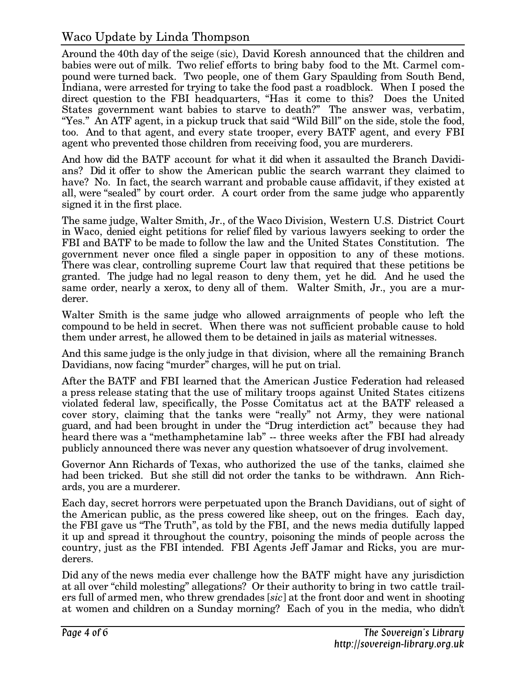## Waco Update by Linda Thompson

Around the 40th day of the seige (sic), David Koresh announced that the children and babies were out of milk. Two relief efforts to bring baby food to the Mt. Carmel compound were turned back. Two people, one of them Gary Spaulding from South Bend, Indiana, were arrested for trying to take the food past a roadblock. When I posed the direct question to the FBI headquarters, "Has it come to this? Does the United States government want babies to starve to death?" The answer was, verbatim, "Yes." An ATF agent, in a pickup truck that said "Wild Bill" on the side, stole the food, too. And to that agent, and every state trooper, every BATF agent, and every FBI agent who prevented those children from receiving food, you are murderers.

And how did the BATF account for what it did when it assaulted the Branch Davidians? Did it offer to show the American public the search warrant they claimed to have? No. In fact, the search warrant and probable cause affidavit, if they existed at all, were "sealed" by court order. A court order from the same judge who apparently signed it in the first place.

The same judge, Walter Smith, Jr., of the Waco Division, Western U.S. District Court in Waco, denied eight petitions for relief filed by various lawyers seeking to order the FBI and BATF to be made to follow the law and the United States Constitution. The government never once filed a single paper in opposition to any of these motions. There was clear, controlling supreme Court law that required that these petitions be granted. The judge had no legal reason to deny them, yet he did. And he used the same order, nearly a xerox, to deny all of them. Walter Smith, Jr., you are a murderer.

Walter Smith is the same judge who allowed arraignments of people who left the compound to be held in secret. When there was not sufficient probable cause to hold them under arrest, he allowed them to be detained in jails as material witnesses.

And this same judge is the only judge in that division, where all the remaining Branch Davidians, now facing "murder" charges, will he put on trial.

After the BATF and FBI learned that the American Justice Federation had released a press release stating that the use of military troops against United States citizens violated federal law, specifically, the Posse Comitatus act at the BATF released a cover story, claiming that the tanks were "really" not Army, they were national guard, and had been brought in under the "Drug interdiction act" because they had heard there was a "methamphetamine lab" -- three weeks after the FBI had already publicly announced there was never any question whatsoever of drug involvement.

Governor Ann Richards of Texas, who authorized the use of the tanks, claimed she had been tricked. But she still did not order the tanks to be withdrawn. Ann Richards, you are a murderer.

Each day, secret horrors were perpetuated upon the Branch Davidians, out of sight of the American public, as the press cowered like sheep, out on the fringes. Each day, the FBI gave us "The Truth", as told by the FBI, and the news media dutifully lapped it up and spread it throughout the country, poisoning the minds of people across the country, just as the FBI intended. FBI Agents Jeff Jamar and Ricks, you are murderers.

Did any of the news media ever challenge how the BATF might have any jurisdiction at all over "child molesting" allegations? Or their authority to bring in two cattle trailers full of armed men, who threw grendades [*sic*] at the front door and went in shooting at women and children on a Sunday morning? Each of you in the media, who didn't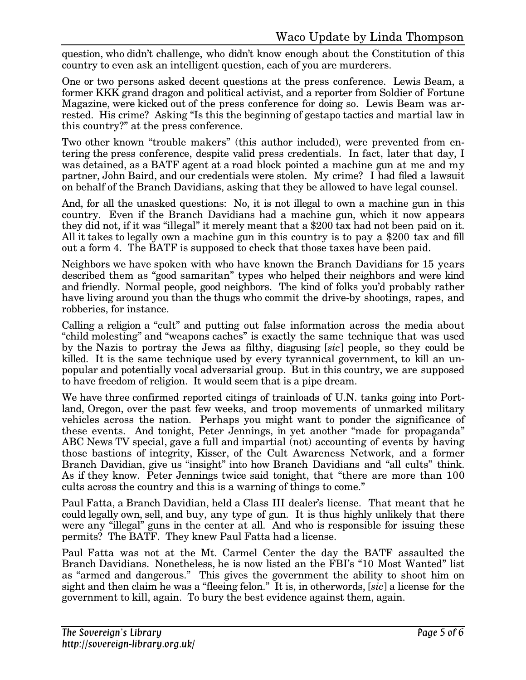question, who didn't challenge, who didn't know enough about the Constitution of this country to even ask an intelligent question, each of you are murderers.

One or two persons asked decent questions at the press conference. Lewis Beam, a former KKK grand dragon and political activist, and a reporter from Soldier of Fortune Magazine, were kicked out of the press conference for doing so. Lewis Beam was arrested. His crime? Asking "Is this the beginning of gestapo tactics and martial law in this country?" at the press conference.

Two other known "trouble makers" (this author included), were prevented from entering the press conference, despite valid press credentials. In fact, later that day, I was detained, as a BATF agent at a road block pointed a machine gun at me and my partner, John Baird, and our credentials were stolen. My crime? I had filed a lawsuit on behalf of the Branch Davidians, asking that they be allowed to have legal counsel.

And, for all the unasked questions: No, it is not illegal to own a machine gun in this country. Even if the Branch Davidians had a machine gun, which it now appears they did not, if it was "illegal" it merely meant that a \$200 tax had not been paid on it. All it takes to legally own a machine gun in this country is to pay a \$200 tax and fill out a form 4. The BATF is supposed to check that those taxes have been paid.

Neighbors we have spoken with who have known the Branch Davidians for 15 years described them as "good samaritan" types who helped their neighbors and were kind and friendly. Normal people, good neighbors. The kind of folks you'd probably rather have living around you than the thugs who commit the drive-by shootings, rapes, and robberies, for instance.

Calling a religion a "cult" and putting out false information across the media about "child molesting" and "weapons caches" is exactly the same technique that was used by the Nazis to portray the Jews as filthy, disgusing [*sic*] people, so they could be killed. It is the same technique used by every tyrannical government, to kill an unpopular and potentially vocal adversarial group. But in this country, we are supposed to have freedom of religion. It would seem that is a pipe dream.

We have three confirmed reported citings of trainloads of U.N. tanks going into Portland, Oregon, over the past few weeks, and troop movements of unmarked military vehicles across the nation. Perhaps you might want to ponder the significance of these events. And tonight, Peter Jennings, in yet another "made for propaganda" ABC News TV special, gave a full and impartial (not) accounting of events by having those bastions of integrity, Kisser, of the Cult Awareness Network, and a former Branch Davidian, give us "insight" into how Branch Davidians and "all cults" think. As if they know. Peter Jennings twice said tonight, that "there are more than 100 cults across the country and this is a warning of things to come."

Paul Fatta, a Branch Davidian, held a Class III dealer's license. That meant that he could legally own, sell, and buy, any type of gun. It is thus highly unlikely that there were any "illegal" guns in the center at all. And who is responsible for issuing these permits? The BATF. They knew Paul Fatta had a license.

Paul Fatta was not at the Mt. Carmel Center the day the BATF assaulted the Branch Davidians. Nonetheless, he is now listed an the FBI's "10 Most Wanted" list as "armed and dangerous." This gives the government the ability to shoot him on sight and then claim he was a "fleeing felon." It is, in otherwords, [*sic*] a license for the government to kill, again. To bury the best evidence against them, again.